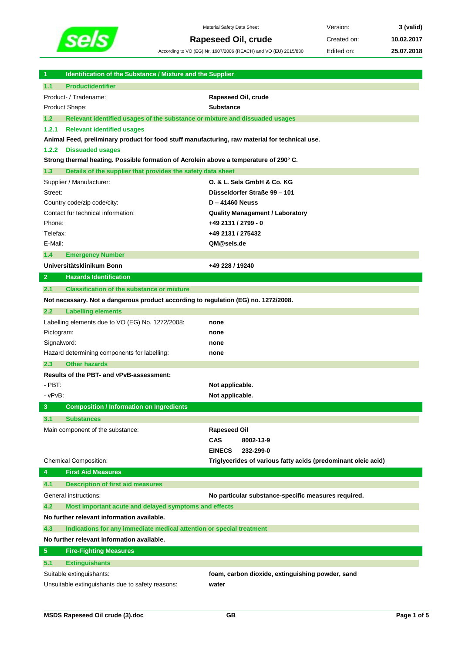

Material Safety Data Sheet **Version: 3** (valid) **Rapeseed Oil, crude** Created on: 10.02.2017

According to VO (EG) Nr. 1907/2006 (REACH) and VO (EU) 2015/830 Edited on: **25.07.2018**

| Identification of the Substance / Mixture and the Supplier<br>$\blacktriangleleft$             |                                                               |
|------------------------------------------------------------------------------------------------|---------------------------------------------------------------|
| 1.1<br><b>Productidentifier</b>                                                                |                                                               |
| Product- / Tradename:                                                                          | Rapeseed Oil, crude                                           |
| Product Shape:                                                                                 | <b>Substance</b>                                              |
| 1.2<br>Relevant identified usages of the substance or mixture and dissuaded usages             |                                                               |
| 1.2.1<br><b>Relevant identified usages</b>                                                     |                                                               |
| Animal Feed, preliminary product for food stuff manufacturing, raw material for technical use. |                                                               |
| 1.2.2<br><b>Dissuaded usages</b>                                                               |                                                               |
| Strong thermal heating. Possible formation of Acrolein above a temperature of 290° C.          |                                                               |
| 1.3<br>Details of the supplier that provides the safety data sheet                             |                                                               |
| Supplier / Manufacturer:                                                                       | O. & L. Sels GmbH & Co. KG                                    |
| Street:                                                                                        | Düsseldorfer Straße 99 - 101                                  |
| Country code/zip code/city:                                                                    | $D - 41460$ Neuss                                             |
| Contact für technical information:                                                             | <b>Quality Management / Laboratory</b>                        |
| Phone:                                                                                         | +49 2131 / 2799 - 0                                           |
| Telefax:                                                                                       | +49 2131 / 275432                                             |
| E-Mail:                                                                                        | QM@sels.de                                                    |
| 1.4<br><b>Emergency Number</b>                                                                 |                                                               |
| Universitätsklinikum Bonn                                                                      | +49 228 / 19240                                               |
| $\mathbf{2}$<br><b>Hazards Identification</b>                                                  |                                                               |
| 2.1<br><b>Classification of the substance or mixture</b>                                       |                                                               |
| Not necessary. Not a dangerous product according to regulation (EG) no. 1272/2008.             |                                                               |
| 2.2<br><b>Labelling elements</b>                                                               |                                                               |
| Labelling elements due to VO (EG) No. 1272/2008:                                               | none                                                          |
| Pictogram:                                                                                     | none                                                          |
| Signalword:                                                                                    | none                                                          |
| Hazard determining components for labelling:                                                   | none                                                          |
| 2.3<br><b>Other hazards</b>                                                                    |                                                               |
| Results of the PBT- and vPvB-assessment:                                                       |                                                               |
| $-PBT.$                                                                                        | Not applicable.                                               |
| $-vPvB$ :                                                                                      | Not applicable.                                               |
| 3<br><b>Composition / Information on Ingredients</b>                                           |                                                               |
| 3.1<br><b>Substances</b>                                                                       |                                                               |
| Main component of the substance:                                                               | <b>Rapeseed Oil</b>                                           |
|                                                                                                | CAS<br>8002-13-9                                              |
|                                                                                                | <b>EINECS</b><br>232-299-0                                    |
| <b>Chemical Composition:</b>                                                                   | Triglycerides of various fatty acids (predominant oleic acid) |
| <b>First Aid Measures</b><br>4                                                                 |                                                               |
| 4.1<br><b>Description of first aid measures</b>                                                |                                                               |
| General instructions:                                                                          | No particular substance-specific measures required.           |
| 4.2<br>Most important acute and delayed symptoms and effects                                   |                                                               |
| No further relevant information available.                                                     |                                                               |
| 4.3<br>Indications for any immediate medical attention or special treatment                    |                                                               |
| No further relevant information available.                                                     |                                                               |
| $\sqrt{5}$<br><b>Fire-Fighting Measures</b>                                                    |                                                               |
| 5.1<br><b>Extinguishants</b>                                                                   |                                                               |
| Suitable extinguishants:                                                                       | foam, carbon dioxide, extinguishing powder, sand              |
| Unsuitable extinguishants due to safety reasons:                                               | water                                                         |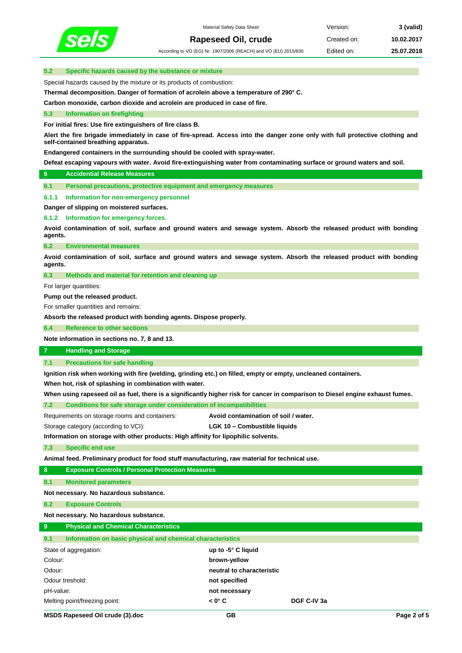

According to VO (EG) Nr. 1907/2006 (REACH) and VO (EU) 2015/830 Edited on: **25.07.2018**

# **5.2 Specific hazards caused by the substance or mixture**

Special hazards caused by the mixture or its products of combustion:

**Thermal decomposition. Danger of formation of acrolein above a temperature of 290° C.**

**Carbon monoxide, carbon dioxide and acrolein are produced in case of fire.**

# **5.3 Information on firefighting**

**For initial fires: Use fire extinguishers of fire class B.**

**Alert the fire brigade immediately in case of fire-spread. Access into the danger zone only with full protective clothing and self-contained breathing apparatus.** 

**Endangered containers in the surrounding should be cooled with spray-water.**

**Defeat escaping vapours with water. Avoid fire-extinguishing water from contaminating surface or ground waters and soil.**

# **6 Accidential Release Measures**

**6.1 Personal precautions, protective equipment and emergency measures**

### **6.1.1 Information for non-emergency personnel**

**Danger of slipping on moistered surfaces.**

**6.1.2 Information for emergency forces.**

**Avoid contamination of soil, surface and ground waters and sewage system. Absorb the released product with bonding agents.**

**6.2 Environmental measures**

**Avoid contamination of soil, surface and ground waters and sewage system. Absorb the released product with bonding agents.**

**6.3 Methods and material for retention and cleaning up**

For larger quantities:

**Pump out the released product.**

For smaller quantities and remains:

**Absorb the released product with bonding agents. Dispose properly.**

**6.4 Reference to other sections**

**Note information in sections no. 7, 8 and 13.**

# **7 Handling and Storage**

**7.1 Precautions for safe handling**

**Ignition risk when working with fire (welding, grinding etc.) on filled, empty or empty, uncleaned containers.**

**When hot, risk of splashing in combination with water.**

**When using rapeseed oil as fuel, there is a significantly higher risk for cancer in comparison to Diesel engine exhaust fumes.**

| Conditions for safe storage under consideration of incompatibilities | 7.2 |  |  |  |  |
|----------------------------------------------------------------------|-----|--|--|--|--|
|----------------------------------------------------------------------|-----|--|--|--|--|

| Requirements on storage rooms and containers: | Avoid contamination of soil / water. |
|-----------------------------------------------|--------------------------------------|
|                                               |                                      |

Storage category (according to VCI): **LGK 10 – Combustible liquids**

**Information on storage with other products: High affinity for lipophilic solvents.**

**7.3 Specific end use**

**Animal feed. Preliminary product for food stuff manufacturing, raw material for technical use.**

# **8 Exposure Controls / Personal Protection Measures**

**8.1 Monitored parameters**

**Not necessary. No hazardous substance.**

**8.2 Exposure Controls**

#### **Not necessary. No hazardous substance.**

| 9 |  |  | <b>Physical and Chemical Characteristics</b> |  |
|---|--|--|----------------------------------------------|--|
|---|--|--|----------------------------------------------|--|

| 9.1<br>Information on basic physical and chemical characteristics |                           |             |
|-------------------------------------------------------------------|---------------------------|-------------|
| State of aggregation:                                             | up to -5° C liquid        |             |
| Colour:                                                           | brown-yellow              |             |
| Odour:                                                            | neutral to characteristic |             |
| Odour treshold:                                                   | not specified             |             |
| pH-value:                                                         | not necessary             |             |
| Melting point/freezing point:                                     | $< 0^\circ C$             | DGF C-IV 3a |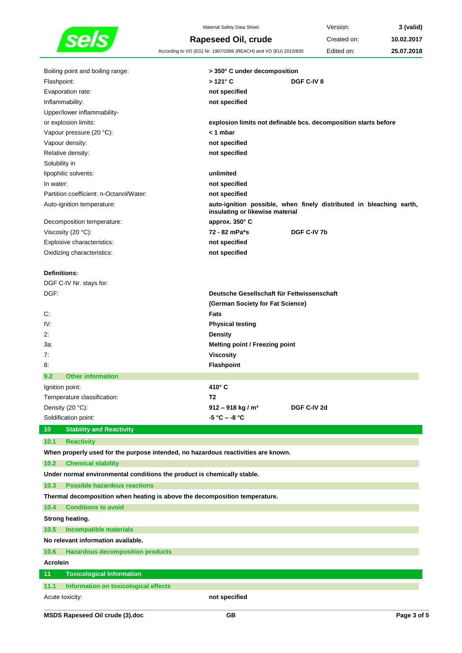

Material Safety Data Sheet **Version: 3** (valid) **Rapeseed Oil, crude** Created on: 10.02.2017 According to VO (EG) Nr. 1907/2006 (REACH) and VO (EU) 2015/830 Edited on: **25.07.2018**

| Boiling point and boiling range:                                                  | > 350° C under decomposition                                                                           |
|-----------------------------------------------------------------------------------|--------------------------------------------------------------------------------------------------------|
| Flashpoint:                                                                       | $>121^{\circ}$ C<br>DGF C-IV 8                                                                         |
| Evaporation rate:                                                                 | not specified                                                                                          |
| Inflammability:                                                                   | not specified                                                                                          |
| Upper/lower inflammability-<br>or explosion limits:                               | explosion limits not definable bcs. decomposition starts before                                        |
| Vapour pressure (20 °C):                                                          | $<$ 1 mbar                                                                                             |
| Vapour density:                                                                   | not specified                                                                                          |
| Relative density:                                                                 | not specified                                                                                          |
| Solubility in                                                                     |                                                                                                        |
| lipophilic solvents:                                                              | unlimited                                                                                              |
| In water:                                                                         | not specified                                                                                          |
| Partition coefficient: n-Octanol/Water:                                           | not specified                                                                                          |
| Auto-ignition temperature:                                                        | auto-ignition possible, when finely distributed in bleaching earth,<br>insulating or likewise material |
| Decomposition temperature:                                                        | approx. 350° C                                                                                         |
| Viscosity (20 °C):                                                                | 72 - 82 mPa*s<br>DGF C-IV 7b                                                                           |
| Explosive characteristics:                                                        | not specified                                                                                          |
| Oxidizing characteristics:                                                        | not specified                                                                                          |
|                                                                                   |                                                                                                        |
| <b>Definitions:</b>                                                               |                                                                                                        |
| DGF C-IV Nr. stays for:                                                           |                                                                                                        |
| DGF:                                                                              | Deutsche Gesellschaft für Fettwissenschaft                                                             |
|                                                                                   | (German Society for Fat Science)                                                                       |
| С.                                                                                | Fats                                                                                                   |
| IV:                                                                               | <b>Physical testing</b>                                                                                |
| 2:                                                                                | <b>Density</b>                                                                                         |
| 3а:                                                                               | <b>Melting point / Freezing point</b>                                                                  |
| 7:                                                                                | <b>Viscosity</b>                                                                                       |
| 8.                                                                                | Flashpoint                                                                                             |
| <b>Other information</b><br>9.2                                                   |                                                                                                        |
| Ignition point:                                                                   | 410° C                                                                                                 |
| Temperature classification:                                                       | T2                                                                                                     |
| Density (20 °C):                                                                  | $912 - 918$ kg / m <sup>3</sup><br>DGF C-IV 2d                                                         |
| Soldification point:                                                              | -5 °C – -8 °C                                                                                          |
| 10<br><b>Stability and Reactivity</b>                                             |                                                                                                        |
| 10.1<br><b>Reactivity</b>                                                         |                                                                                                        |
| When properly used for the purpose intended, no hazardous reactivities are known. |                                                                                                        |
| 10.2<br><b>Chemical stability</b>                                                 |                                                                                                        |
| Under normal environmental conditions the product is chemically stable.           |                                                                                                        |
| 10.3<br><b>Possible hazardous reactions</b>                                       |                                                                                                        |
| Thermal decomposition when heating is above the decomposition temperature.        |                                                                                                        |
| <b>Conditions to avoid</b><br>10.4                                                |                                                                                                        |
| Strong heating.                                                                   |                                                                                                        |
| <b>Incompatible materials</b><br>10.5                                             |                                                                                                        |
| No relevant information available.                                                |                                                                                                        |
| 10.6<br><b>Hazardous decomposition products</b>                                   |                                                                                                        |
| <b>Acrolein</b>                                                                   |                                                                                                        |
| 11<br><b>Toxicological Information</b>                                            |                                                                                                        |
| 11.1<br>Information on toxicological effects                                      |                                                                                                        |
|                                                                                   | not specified                                                                                          |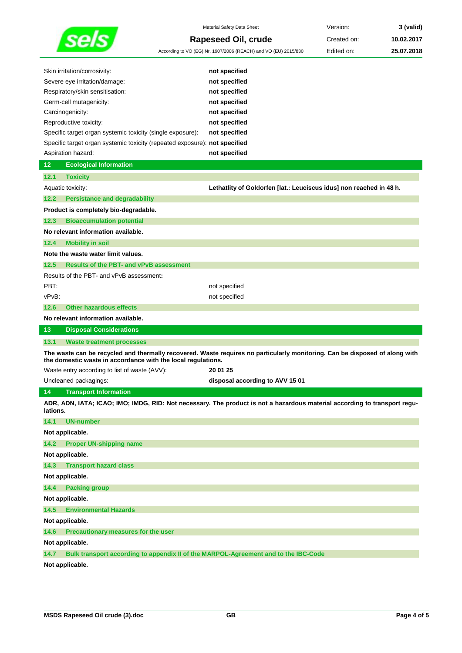|                                                                            | Material Safety Data Sheet                                                                                                  | Version:    | 3 (valid)  |
|----------------------------------------------------------------------------|-----------------------------------------------------------------------------------------------------------------------------|-------------|------------|
|                                                                            | Rapeseed Oil, crude                                                                                                         | Created on: | 10.02.2017 |
|                                                                            | According to VO (EG) Nr. 1907/2006 (REACH) and VO (EU) 2015/830                                                             | Edited on:  | 25.07.2018 |
|                                                                            |                                                                                                                             |             |            |
| Skin irritation/corrosivity:                                               | not specified                                                                                                               |             |            |
| Severe eye irritation/damage:                                              | not specified                                                                                                               |             |            |
| Respiratory/skin sensitisation:                                            | not specified                                                                                                               |             |            |
| Germ-cell mutagenicity:                                                    | not specified                                                                                                               |             |            |
| Carcinogenicity:<br>Reproductive toxicity:                                 | not specified                                                                                                               |             |            |
| Specific target organ systemic toxicity (single exposure):                 | not specified<br>not specified                                                                                              |             |            |
| Specific target organ systemic toxicity (repeated exposure): not specified |                                                                                                                             |             |            |
| Aspiration hazard:                                                         | not specified                                                                                                               |             |            |
| 12<br><b>Ecological Information</b>                                        |                                                                                                                             |             |            |
| 12.1<br><b>Toxicity</b>                                                    |                                                                                                                             |             |            |
| Aquatic toxicity:                                                          | Lethatlity of Goldorfen [lat.: Leuciscus idus] non reached in 48 h.                                                         |             |            |
| 12.2<br><b>Persistance and degradability</b>                               |                                                                                                                             |             |            |
| Product is completely bio-degradable.                                      |                                                                                                                             |             |            |
| 12.3<br><b>Bioaccumulation potential</b>                                   |                                                                                                                             |             |            |
|                                                                            |                                                                                                                             |             |            |
| No relevant information available.                                         |                                                                                                                             |             |            |
| 12.4<br><b>Mobility in soil</b>                                            |                                                                                                                             |             |            |
| Note the waste water limit values.                                         |                                                                                                                             |             |            |
| 12.5<br><b>Results of the PBT- and vPvB assessment</b>                     |                                                                                                                             |             |            |
| Results of the PBT- and vPvB assessment:                                   |                                                                                                                             |             |            |
| PBT:                                                                       | not specified                                                                                                               |             |            |
| vPvB:                                                                      | not specified                                                                                                               |             |            |
| 12.6<br><b>Other hazardous effects</b>                                     |                                                                                                                             |             |            |
| No relevant information available.                                         |                                                                                                                             |             |            |
| 13<br><b>Disposal Considerations</b>                                       |                                                                                                                             |             |            |
| 13.1<br><b>Waste treatment processes</b>                                   |                                                                                                                             |             |            |
| the domestic waste in accordance with the local regulations.               | The waste can be recycled and thermally recovered. Waste requires no particularly monitoring. Can be disposed of along with |             |            |
| Waste entry according to list of waste (AVV):                              | 20 01 25                                                                                                                    |             |            |
| Uncleaned packagings:                                                      | disposal according to AVV 15 01                                                                                             |             |            |
| <b>Transport Information</b><br>14                                         |                                                                                                                             |             |            |
| lations.                                                                   | ADR, ADN, IATA; ICAO; IMO; IMDG, RID: Not necessary. The product is not a hazardous material according to transport regu-   |             |            |
| <b>UN-number</b><br>14.1                                                   |                                                                                                                             |             |            |
| Not applicable.                                                            |                                                                                                                             |             |            |
| 14.2<br><b>Proper UN-shipping name</b>                                     |                                                                                                                             |             |            |
| Not applicable.                                                            |                                                                                                                             |             |            |
| 14.3<br><b>Transport hazard class</b>                                      |                                                                                                                             |             |            |
| Not applicable.                                                            |                                                                                                                             |             |            |
| <b>Packing group</b><br>14.4                                               |                                                                                                                             |             |            |
| Not applicable.                                                            |                                                                                                                             |             |            |
| 14.5<br><b>Environmental Hazards</b>                                       |                                                                                                                             |             |            |
|                                                                            |                                                                                                                             |             |            |
| Not applicable.                                                            |                                                                                                                             |             |            |
| 14.6<br>Precautionary measures for the user                                |                                                                                                                             |             |            |
| Not applicable.                                                            |                                                                                                                             |             |            |
| 14.7                                                                       | Bulk transport according to appendix II of the MARPOL-Agreement and to the IBC-Code                                         |             |            |
| Not applicable.                                                            |                                                                                                                             |             |            |